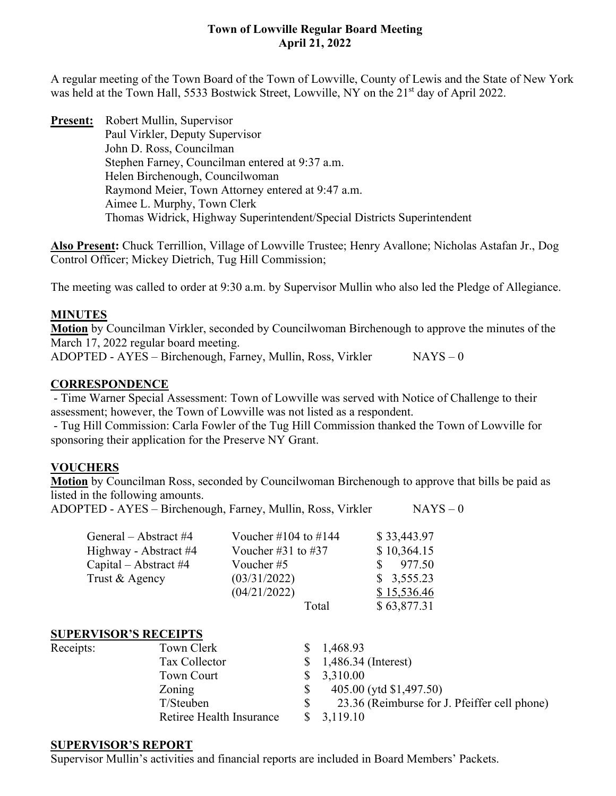A regular meeting of the Town Board of the Town of Lowville, County of Lewis and the State of New York was held at the Town Hall, 5533 Bostwick Street, Lowville, NY on the 21<sup>st</sup> day of April 2022.

**Present:** Robert Mullin, Supervisor Paul Virkler, Deputy Supervisor John D. Ross, Councilman Stephen Farney, Councilman entered at 9:37 a.m. Helen Birchenough, Councilwoman Raymond Meier, Town Attorney entered at 9:47 a.m. Aimee L. Murphy, Town Clerk Thomas Widrick, Highway Superintendent/Special Districts Superintendent

**Also Present:** Chuck Terrillion, Village of Lowville Trustee; Henry Avallone; Nicholas Astafan Jr., Dog Control Officer; Mickey Dietrich, Tug Hill Commission;

The meeting was called to order at 9:30 a.m. by Supervisor Mullin who also led the Pledge of Allegiance.

## **MINUTES**

**Motion** by Councilman Virkler, seconded by Councilwoman Birchenough to approve the minutes of the March 17, 2022 regular board meeting.

 $ADOPTED - AYES - Birchenough, Farney, Mullin, Ross, Virkler$  NAYS – 0

## **CORRESPONDENCE**

- Time Warner Special Assessment: Town of Lowville was served with Notice of Challenge to their assessment; however, the Town of Lowville was not listed as a respondent.

- Tug Hill Commission: Carla Fowler of the Tug Hill Commission thanked the Town of Lowville for sponsoring their application for the Preserve NY Grant.

# **VOUCHERS**

**Motion** by Councilman Ross, seconded by Councilwoman Birchenough to approve that bills be paid as listed in the following amounts.

ADOPTED - AYES – Birchenough, Farney, Mullin, Ross, Virkler NAYS – 0

| General – Abstract #4 | Voucher #104 to #144 | \$33,443.97 |
|-----------------------|----------------------|-------------|
| Highway - Abstract #4 | Voucher #31 to #37   | \$10,364.15 |
| Capital – Abstract #4 | Voucher #5           | 977.50      |
| Trust & Agency        | (03/31/2022)         | \$3,555.23  |
|                       | (04/21/2022)         | \$15,536.46 |
|                       | Total                | \$63,877.31 |

## **SUPERVISOR'S RECEIPTS**

Receipts:

| Town Clerk               | \$1,468.93                                   |
|--------------------------|----------------------------------------------|
| Tax Collector            | $$1,486.34$ (Interest)                       |
| <b>Town Court</b>        | 3,310.00                                     |
| Zoning                   | 405.00 (ytd \$1,497.50)                      |
| T/Steuben                | 23.36 (Reimburse for J. Pfeiffer cell phone) |
| Retiree Health Insurance | 3,119.10                                     |
|                          |                                              |

### **SUPERVISOR'S REPORT**

Supervisor Mullin's activities and financial reports are included in Board Members' Packets.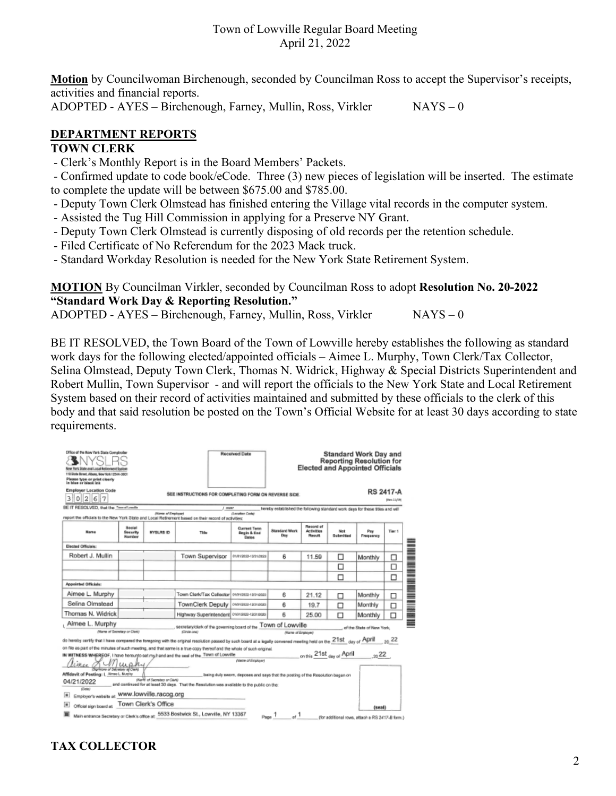**Motion** by Councilwoman Birchenough, seconded by Councilman Ross to accept the Supervisor's receipts, activities and financial reports.

ADOPTED - AYES – Birchenough, Farney, Mullin, Ross, Virkler NAYS – 0

# **DEPARTMENT REPORTS**

## **TOWN CLERK**

- Clerk's Monthly Report is in the Board Members' Packets.

- Confirmed update to code book/eCode. Three (3) new pieces of legislation will be inserted. The estimate to complete the update will be between \$675.00 and \$785.00.

- Deputy Town Clerk Olmstead has finished entering the Village vital records in the computer system.
- Assisted the Tug Hill Commission in applying for a Preserve NY Grant.
- Deputy Town Clerk Olmstead is currently disposing of old records per the retention schedule.
- Filed Certificate of No Referendum for the 2023 Mack truck.
- Standard Workday Resolution is needed for the New York State Retirement System.

## **MOTION** By Councilman Virkler, seconded by Councilman Ross to adopt **Resolution No. 20-2022 "Standard Work Day & Reporting Resolution."**

ADOPTED - AYES – Birchenough, Farney, Mullin, Ross, Virkler NAYS – 0

BE IT RESOLVED, the Town Board of the Town of Lowville hereby establishes the following as standard work days for the following elected/appointed officials – Aimee L. Murphy, Town Clerk/Tax Collector, Selina Olmstead, Deputy Town Clerk, Thomas N. Widrick, Highway & Special Districts Superintendent and Robert Mullin, Town Supervisor - and will report the officials to the New York State and Local Retirement System based on their record of activities maintained and submitted by these officials to the clerk of this body and that said resolution be posted on the Town's Official Website for at least 30 days according to state requirements.

| Office of the New York State Comptroller<br>New York State and Local Referenced System<br>110 State Blved, Albany, New York 12344-0801<br>Please type or print clearly<br>in blue or black ink                                               |                                     |                                                                                          |                                              | Received Date                                                 |                                                                               |                                   |                  | <b>Standard Work Day and</b><br><b>Reporting Resolution for</b><br><b>Elected and Appointed Officials</b> |        |
|----------------------------------------------------------------------------------------------------------------------------------------------------------------------------------------------------------------------------------------------|-------------------------------------|------------------------------------------------------------------------------------------|----------------------------------------------|---------------------------------------------------------------|-------------------------------------------------------------------------------|-----------------------------------|------------------|-----------------------------------------------------------------------------------------------------------|--------|
| <b>Employer Location Code</b><br>  2  6  7<br>3<br>$\circ$                                                                                                                                                                                   |                                     | <b>RS 2417-A</b><br>SEE INSTRUCTIONS FOR COMPLETING FORM ON REVERSE SIDE.<br>[Rev.11/19] |                                              |                                                               |                                                                               |                                   |                  |                                                                                                           |        |
| BE IT RESOLVED, that the Trend Lowlin                                                                                                                                                                                                        |                                     |                                                                                          | J 30087                                      |                                                               | hereby established the following standard work days for these titles and will |                                   |                  |                                                                                                           |        |
| niport the officials to the New York State and Local Retirement based on their record of activities;                                                                                                                                         |                                     | (Name of Employed)                                                                       |                                              | (Leoptian Code)                                               |                                                                               |                                   |                  |                                                                                                           |        |
| <b>Harne</b>                                                                                                                                                                                                                                 | <b>Seeial</b><br>Security<br>Number | <b>NYSLRS ID</b>                                                                         | Title                                        | <b>Current Term</b><br><b>Begin &amp; End</b><br><b>Dates</b> | <b>Standard Work</b><br>Day                                                   | Record of<br>Activities<br>Result | Not<br>Submitted | Paw<br>Frequency                                                                                          | Tier 1 |
| <b>Disclad Officials:</b>                                                                                                                                                                                                                    |                                     |                                                                                          |                                              |                                                               |                                                                               |                                   |                  |                                                                                                           | ┋      |
| Robert J. Mullin                                                                                                                                                                                                                             |                                     |                                                                                          | <b>Town Supervisor</b>                       | 01/01/2020-13/01/2020                                         | 6                                                                             | 11.59                             | □                | Monthly                                                                                                   | □      |
|                                                                                                                                                                                                                                              |                                     |                                                                                          |                                              |                                                               |                                                                               |                                   | П                |                                                                                                           | □      |
|                                                                                                                                                                                                                                              |                                     |                                                                                          |                                              |                                                               |                                                                               |                                   | □                |                                                                                                           | □      |
| Appointed Officials:                                                                                                                                                                                                                         |                                     |                                                                                          |                                              |                                                               |                                                                               |                                   |                  |                                                                                                           |        |
| Aimee L. Murphy                                                                                                                                                                                                                              |                                     |                                                                                          | Town Clerk/Tax Collector   01010822-12010223 |                                                               | 6                                                                             | 21.12                             | п                | Monthly                                                                                                   | □      |
| Selina Olmstead                                                                                                                                                                                                                              |                                     |                                                                                          | TownClerk Deputy   overasse-tatinasse        |                                                               | 6                                                                             | 19.7                              | п                | Monthly                                                                                                   | □      |
| Thomas N. Widrick                                                                                                                                                                                                                            |                                     |                                                                                          | Highway Superintendent owness-rasraces       |                                                               | 6                                                                             | 25.00                             | п                | Monthly                                                                                                   | ◻      |
| Aimee L. Murphy<br>secretary/clark of the governing board of the TOWN Of LOWVIlle<br>of the State of New York.                                                                                                                               |                                     |                                                                                          |                                              |                                                               |                                                                               |                                   |                  |                                                                                                           |        |
| Marte of Secretary or Clerk)                                                                                                                                                                                                                 |                                     |                                                                                          | (Circle one)                                 |                                                               | Name of Employed                                                              |                                   |                  |                                                                                                           |        |
| do hereby certify that I have compared the foregoing with the original resolution passed by such board at a legally convened meeting held on the 21St day of ADIT                                                                            |                                     |                                                                                          |                                              |                                                               |                                                                               |                                   |                  |                                                                                                           | 22     |
| on file as part of the minutes of such meeting, and that same is a true copy thereof and the whole of such original.<br>on this 21st day of April 22<br>IN WITNESS WHEREOF, I have herounto set my/hand and the seal of the Town of Lowville |                                     |                                                                                          |                                              |                                                               |                                                                               |                                   |                  |                                                                                                           |        |
| Name of Employed<br>upky                                                                                                                                                                                                                     |                                     |                                                                                          |                                              |                                                               |                                                                               |                                   |                  |                                                                                                           |        |
| two of Salimium al Clarki<br>Affidavit of Posting: L. Aimed. Mushy                                                                                                                                                                           |                                     |                                                                                          |                                              |                                                               |                                                                               |                                   |                  |                                                                                                           |        |
| being duly sworn, deposes and says that the posting of the Resolution bagan on<br>(Narrii) of Secretary or Clients)<br>04/21/2022<br>and continued for at least 30 days. That the Resolution was available to the public on the:<br>(Cele)   |                                     |                                                                                          |                                              |                                                               |                                                                               |                                   |                  |                                                                                                           |        |
| Employer's website at: WWW.lowville.racog.org<br>$\blacksquare$                                                                                                                                                                              |                                     |                                                                                          |                                              |                                                               |                                                                               |                                   |                  |                                                                                                           |        |
| Town Clerk's Office<br>$\Box$<br>Official sign board at<br>(seal)                                                                                                                                                                            |                                     |                                                                                          |                                              |                                                               |                                                                               |                                   |                  |                                                                                                           |        |
| Main entrance Secretary or Clerk's office at: 5533 Bostwick St., Lowville, NY 13367<br>$p_{\text{loss}}$ 1 $^{-1}$<br>(for additional rows, attach a RS 2417-B form.)                                                                        |                                     |                                                                                          |                                              |                                                               |                                                                               |                                   |                  |                                                                                                           |        |

# **TAX COLLECTOR**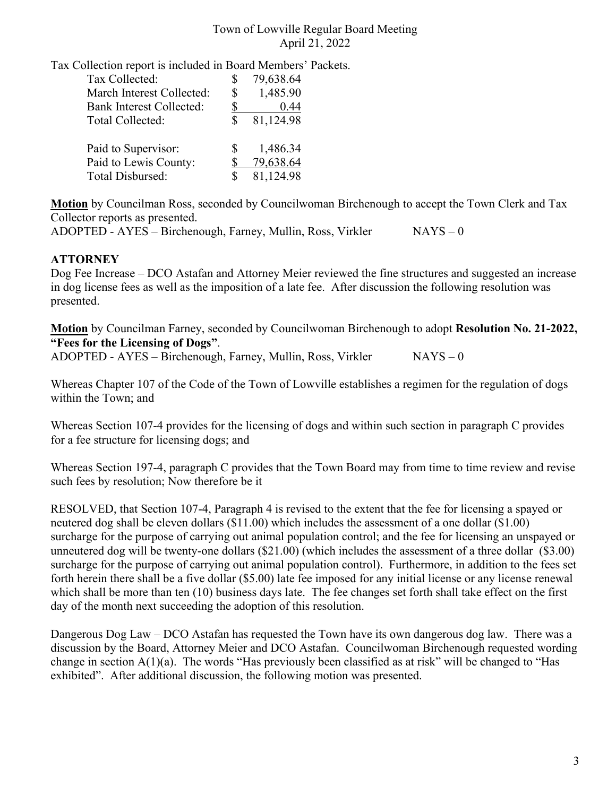Tax Collection report is included in Board Members' Packets.

| Tax Collected:<br>March Interest Collected:<br><b>Bank Interest Collected:</b><br>Total Collected: | S<br>\$<br>S | 79,638.64<br>1,485.90<br>0.44<br>81,124.98 |
|----------------------------------------------------------------------------------------------------|--------------|--------------------------------------------|
| Paid to Supervisor:<br>Paid to Lewis County:                                                       | S.           | 1,486.34<br>79,638.64<br>81,124.98         |
| Total Disbursed:                                                                                   |              |                                            |

**Motion** by Councilman Ross, seconded by Councilwoman Birchenough to accept the Town Clerk and Tax Collector reports as presented.

ADOPTED - AYES – Birchenough, Farney, Mullin, Ross, Virkler NAYS – 0

## **ATTORNEY**

Dog Fee Increase – DCO Astafan and Attorney Meier reviewed the fine structures and suggested an increase in dog license fees as well as the imposition of a late fee. After discussion the following resolution was presented.

**Motion** by Councilman Farney, seconded by Councilwoman Birchenough to adopt **Resolution No. 21-2022, "Fees for the Licensing of Dogs"**.

 $ADOPTED - AYES - Birchenough, Farney, Mullin, Ross, Virkler$  NAYS – 0

Whereas Chapter 107 of the Code of the Town of Lowville establishes a regimen for the regulation of dogs within the Town; and

Whereas Section 107-4 provides for the licensing of dogs and within such section in paragraph C provides for a fee structure for licensing dogs; and

Whereas Section 197-4, paragraph C provides that the Town Board may from time to time review and revise such fees by resolution; Now therefore be it

RESOLVED, that Section 107-4, Paragraph 4 is revised to the extent that the fee for licensing a spayed or neutered dog shall be eleven dollars (\$11.00) which includes the assessment of a one dollar (\$1.00) surcharge for the purpose of carrying out animal population control; and the fee for licensing an unspayed or unneutered dog will be twenty-one dollars (\$21.00) (which includes the assessment of a three dollar (\$3.00) surcharge for the purpose of carrying out animal population control). Furthermore, in addition to the fees set forth herein there shall be a five dollar (\$5.00) late fee imposed for any initial license or any license renewal which shall be more than ten (10) business days late. The fee changes set forth shall take effect on the first day of the month next succeeding the adoption of this resolution.

Dangerous Dog Law – DCO Astafan has requested the Town have its own dangerous dog law. There was a discussion by the Board, Attorney Meier and DCO Astafan. Councilwoman Birchenough requested wording change in section  $A(1)(a)$ . The words "Has previously been classified as at risk" will be changed to "Has exhibited". After additional discussion, the following motion was presented.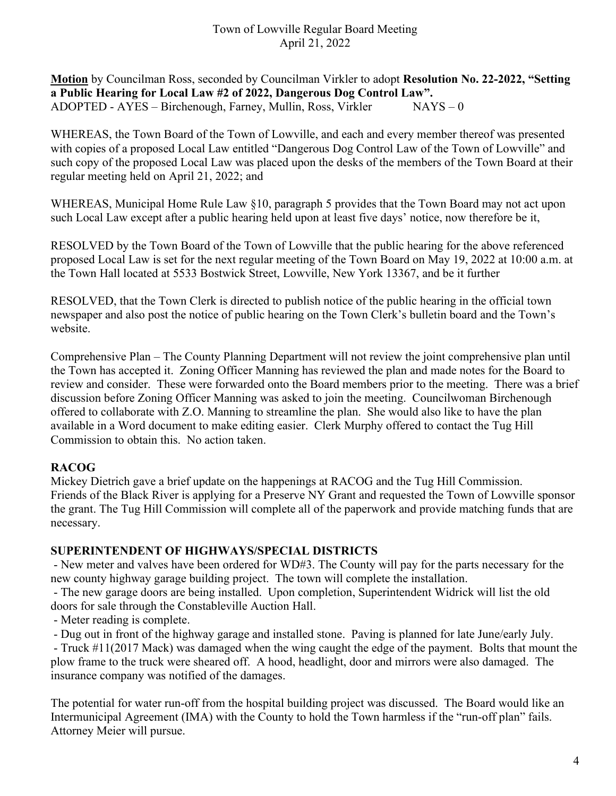**Motion** by Councilman Ross, seconded by Councilman Virkler to adopt **Resolution No. 22-2022, "Setting a Public Hearing for Local Law #2 of 2022, Dangerous Dog Control Law".** ADOPTED - AYES – Birchenough, Farney, Mullin, Ross, Virkler NAYS – 0

WHEREAS, the Town Board of the Town of Lowville, and each and every member thereof was presented with copies of a proposed Local Law entitled "Dangerous Dog Control Law of the Town of Lowville" and such copy of the proposed Local Law was placed upon the desks of the members of the Town Board at their regular meeting held on April 21, 2022; and

WHEREAS, Municipal Home Rule Law §10, paragraph 5 provides that the Town Board may not act upon such Local Law except after a public hearing held upon at least five days' notice, now therefore be it,

RESOLVED by the Town Board of the Town of Lowville that the public hearing for the above referenced proposed Local Law is set for the next regular meeting of the Town Board on May 19, 2022 at 10:00 a.m. at the Town Hall located at 5533 Bostwick Street, Lowville, New York 13367, and be it further

RESOLVED, that the Town Clerk is directed to publish notice of the public hearing in the official town newspaper and also post the notice of public hearing on the Town Clerk's bulletin board and the Town's website.

Comprehensive Plan – The County Planning Department will not review the joint comprehensive plan until the Town has accepted it. Zoning Officer Manning has reviewed the plan and made notes for the Board to review and consider. These were forwarded onto the Board members prior to the meeting. There was a brief discussion before Zoning Officer Manning was asked to join the meeting. Councilwoman Birchenough offered to collaborate with Z.O. Manning to streamline the plan. She would also like to have the plan available in a Word document to make editing easier. Clerk Murphy offered to contact the Tug Hill Commission to obtain this. No action taken.

## **RACOG**

Mickey Dietrich gave a brief update on the happenings at RACOG and the Tug Hill Commission. Friends of the Black River is applying for a Preserve NY Grant and requested the Town of Lowville sponsor the grant. The Tug Hill Commission will complete all of the paperwork and provide matching funds that are necessary.

## **SUPERINTENDENT OF HIGHWAYS/SPECIAL DISTRICTS**

- New meter and valves have been ordered for WD#3. The County will pay for the parts necessary for the new county highway garage building project. The town will complete the installation.

- The new garage doors are being installed. Upon completion, Superintendent Widrick will list the old doors for sale through the Constableville Auction Hall.

- Meter reading is complete.

- Dug out in front of the highway garage and installed stone. Paving is planned for late June/early July.

- Truck #11(2017 Mack) was damaged when the wing caught the edge of the payment. Bolts that mount the plow frame to the truck were sheared off. A hood, headlight, door and mirrors were also damaged. The insurance company was notified of the damages.

The potential for water run-off from the hospital building project was discussed. The Board would like an Intermunicipal Agreement (IMA) with the County to hold the Town harmless if the "run-off plan" fails. Attorney Meier will pursue.